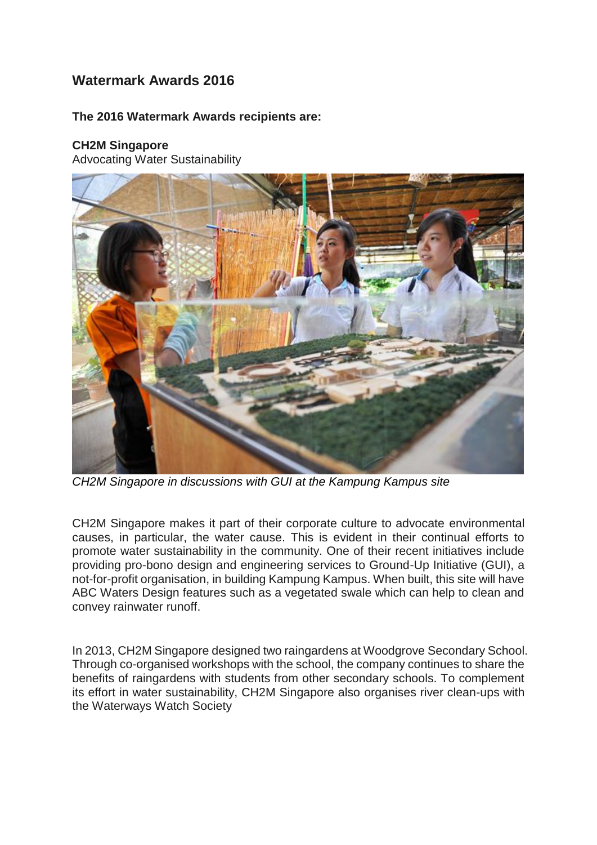# **Watermark Awards 2016**

### **The 2016 Watermark Awards recipients are:**

### **CH2M Singapore**

Advocating Water Sustainability



*CH2M Singapore in discussions with GUI at the Kampung Kampus site*

CH2M Singapore makes it part of their corporate culture to advocate environmental causes, in particular, the water cause. This is evident in their continual efforts to promote water sustainability in the community. One of their recent initiatives include providing pro-bono design and engineering services to Ground-Up Initiative (GUI), a not-for-profit organisation, in building Kampung Kampus. When built, this site will have ABC Waters Design features such as a vegetated swale which can help to clean and convey rainwater runoff.

In 2013, CH2M Singapore designed two raingardens at Woodgrove Secondary School. Through co-organised workshops with the school, the company continues to share the benefits of raingardens with students from other secondary schools. To complement its effort in water sustainability, CH2M Singapore also organises river clean-ups with the Waterways Watch Society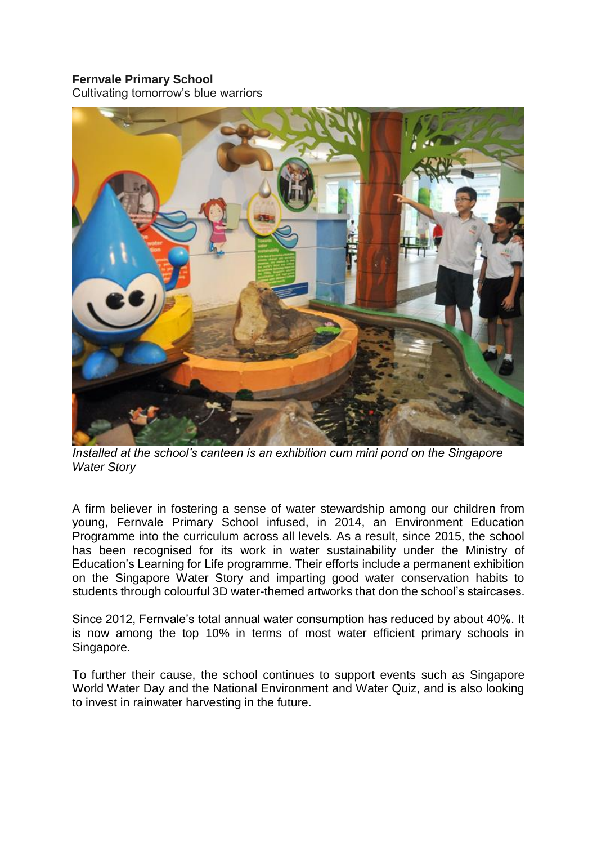## **Fernvale Primary School**

Cultivating tomorrow's blue warriors



*Installed at the school's canteen is an exhibition cum mini pond on the Singapore Water Story*

A firm believer in fostering a sense of water stewardship among our children from young, Fernvale Primary School infused, in 2014, an Environment Education Programme into the curriculum across all levels. As a result, since 2015, the school has been recognised for its work in water sustainability under the Ministry of Education's Learning for Life programme. Their efforts include a permanent exhibition on the Singapore Water Story and imparting good water conservation habits to students through colourful 3D water-themed artworks that don the school's staircases.

Since 2012, Fernvale's total annual water consumption has reduced by about 40%. It is now among the top 10% in terms of most water efficient primary schools in Singapore.

To further their cause, the school continues to support events such as Singapore World Water Day and the National Environment and Water Quiz, and is also looking to invest in rainwater harvesting in the future.